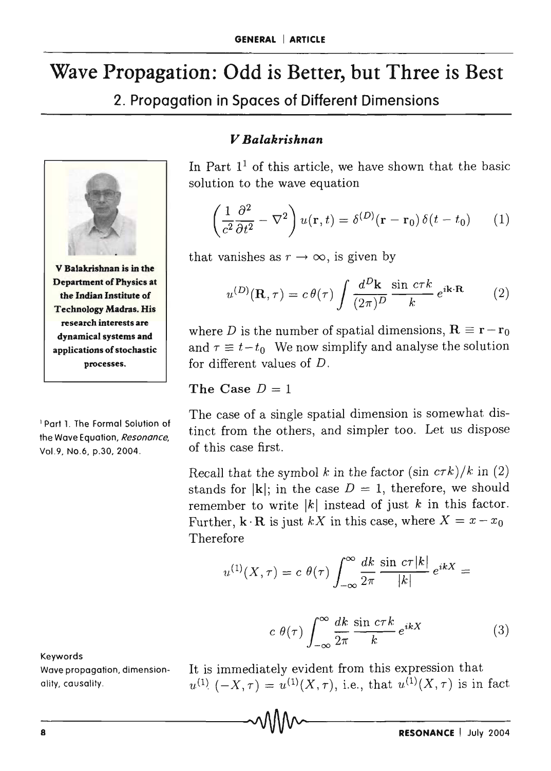# Wave Propagation: Odd is Better, but Three is Best

2. Propagation in Spaces of Different Dimensions



Technology Madras. His research interests are dynamical systems and applications of stochastic processes.

1 Part 1. The Formal Solution of the Wave Equation, *Resonance,*  Vo1.9, No.6, p.30, 2004.

Keywords

Wave propagation, dimensionality, causality.

#### *V Balakrishnan*

In Part  $1<sup>1</sup>$  of this article, we have shown that the basic solution to the wave equation

$$
\left(\frac{1}{c^2}\frac{\partial^2}{\partial t^2} - \nabla^2\right)u(\mathbf{r}, t) = \delta^{(D)}(\mathbf{r} - \mathbf{r}_0)\,\delta(t - t_0) \qquad (1)
$$

that vanishes as  $r \to \infty$ , is given by

$$
u^{(D)}(\mathbf{R}, \tau) = c \theta(\tau) \int \frac{d^D \mathbf{k}}{(2\pi)^D} \frac{\sin c \tau k}{k} e^{i\mathbf{k} \cdot \mathbf{R}} \qquad (2)
$$

where D is the number of spatial dimensions,  $\mathbf{R} \equiv \mathbf{r} - \mathbf{r}_0$ and  $\tau \equiv t-t_0$  We now simplify and analyse the solution for different values of *D.* 

#### The Case  $D = 1$

The case of a single spatial dimension is somewhat distinct from the others, and simpler too. Let us dispose of this case first.

Recall that the symbol k in the factor  $(\sin c\tau k)/k$  in (2) stands for  $|\mathbf{k}|$ ; in the case  $D = 1$ , therefore, we should remember to write  $|k|$  instead of just k in this factor. Further,  $\mathbf{k} \cdot \mathbf{R}$  is just  $kX$  in this case, where  $X = x - x_0$ Therefore

$$
u^{(1)}(X,\tau) = c \ \theta(\tau) \int_{-\infty}^{\infty} \frac{dk}{2\pi} \frac{\sin \ c \tau |k|}{|k|} e^{ikX} =
$$

$$
c \theta(\tau) \int_{-\infty}^{\infty} \frac{dk}{2\pi} \frac{\sin c\tau k}{k} e^{ikX}
$$
 (3)

It is immediately evident from this expression that  $u^{(1)}(-X,\tau) = u^{(1)}(X,\tau)$ , i.e., that  $u^{(1)}(X,\tau)$  is in fact

 $\sim$  0.1110 $\sim$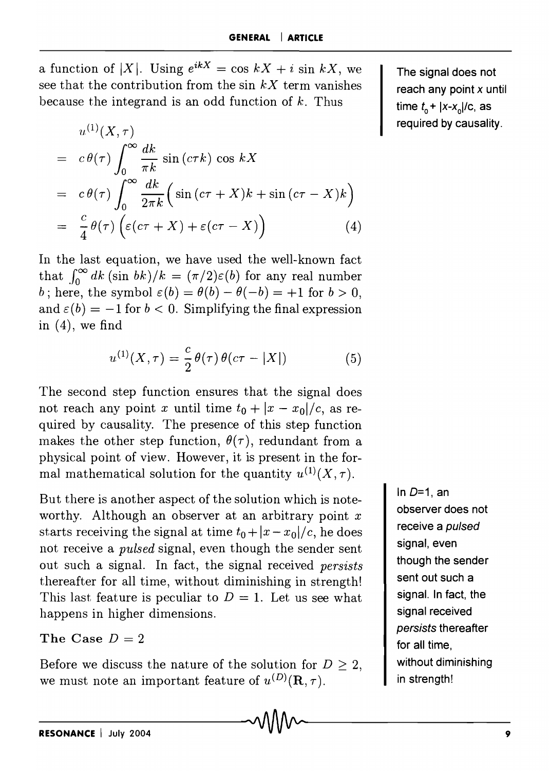a function of |X|. Using  $e^{ikX} = \cos kX + i \sin kX$ , we see that the contribution from the sin  $kX$  term vanishes because the integrand is an odd function of *k.* Thus

$$
u^{(1)}(X,\tau)
$$
  
=  $c \theta(\tau) \int_0^{\infty} \frac{dk}{\pi k} \sin(c\tau k) \cos kX$   
=  $c \theta(\tau) \int_0^{\infty} \frac{dk}{2\pi k} \left( \sin(c\tau + X)k + \sin(c\tau - X)k \right)$   
=  $\frac{c}{4} \theta(\tau) \left( \varepsilon(c\tau + X) + \varepsilon(c\tau - X) \right)$  (4)

In the last equation, we have used the well-known fact that  $\int_{0}^{\infty} dk$  (sin bk)/k =  $(\pi/2)\varepsilon(b)$  for any real number b; here, the symbol  $\varepsilon(b) = \theta(b) - \theta(-b) = +1$  for  $b > 0$ , and  $\varepsilon(b) = -1$  for  $b < 0$ . Simplifying the final expression in  $(4)$ , we find

$$
u^{(1)}(X,\tau) = \frac{c}{2}\theta(\tau)\,\theta(c\tau - |X|) \tag{5}
$$

The second step function ensures that the signal does not reach any point *x* until time  $t_0 + |x - x_0|/c$ , as required by causality. The presence of this step function makes the other step function,  $\theta(\tau)$ , redundant from a physical point of view. However, it is present in the formal mathematical solution for the quantity  $u^{(1)}(X,\tau)$ .

But there is another aspect of the solution which is noteworthy. Although an observer at an arbitrary point *x*  starts receiving the signal at time  $t_0 + |x - x_0|/c$ , he does not receive a *pulsed* signal, even though the sender sent out such a signal. In fact, the signal received *persists*  thereafter for all time, without diminishing in strength! This last feature is peculiar to  $D = 1$ . Let us see what happens in higher dimensions.

The Case  $D=2$ 

Before we discuss the nature of the solution for  $D \geq 2$ , we must note an important feature of  $u^{(D)}(\mathbf{R}, \tau)$ .

In  $D=1$ , an observer does not receive a pulsed signal, even though the sender sent out such a signal. In fact, the signal received persists thereafter for all time, without diminishing in strength!

The signal does not reach any point  $x$  until time  $t_0$  +  $|x-x_0|/c$ , as required by causality.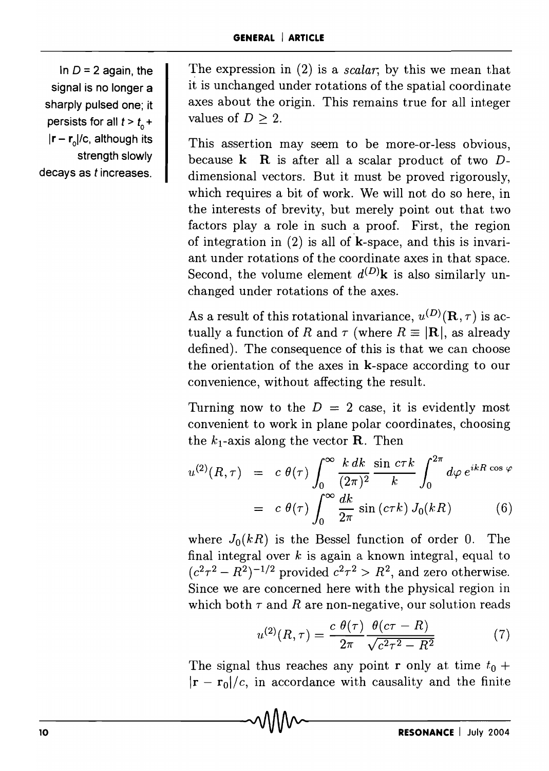In  $D = 2$  again, the signal is no longer a sharply pulsed one; it persists for all  $t > t_0$  + Ir - r<sub>o</sub>l/c, although its strength slowly decays as *t* increases. The expression in (2) is a *scalar*; by this we mean that it is unchanged under rotations of the spatial coordinate axes about the origin. This remains true for all integer values of  $D \geq 2$ .

This assertion may seem to be more-or-Iess obvious, because k R is after all a scalar product of two *D*dimensional vectors. But it must be proved rigorously, which requires a bit of work. We will not do so here, in the interests of brevity, but merely point out that two factors play a role in such a proof. First, the region of integration in  $(2)$  is all of **k**-space, and this is invariant under rotations of the coordinate axes in that space. Second, the volume element  $d^{(D)}\mathbf{k}$  is also similarly unchanged under rotations of the axes.

As a result of this rotational invariance,  $u^{(D)}(\mathbf{R}, \tau)$  is actually a function of R and  $\tau$  (where  $R \equiv |\mathbf{R}|$ , as already defined). The consequence of this is that we can choose the orientation of the axes in k-space according to our convenience, without affecting the result.

Turning now to the  $D = 2$  case, it is evidently most convenient to work in plane polar coordinates, choosing the  $k_1$ -axis along the vector **R**. Then

$$
u^{(2)}(R,\tau) = c \theta(\tau) \int_0^\infty \frac{k \, dk}{(2\pi)^2} \frac{\sin c\tau k}{k} \int_0^{2\pi} d\varphi \, e^{ikR \cos \varphi}
$$
  
=  $c \theta(\tau) \int_0^\infty \frac{dk}{2\pi} \sin (c\tau k) J_0(kR)$  (6)

where  $J_0(kR)$  is the Bessel function of order 0. The final integral over *k* is again a known integral, equal to  $(c^2\tau^2 - R^2)^{-1/2}$  provided  $c^2\tau^2 > R^2$ , and zero otherwise. Since we are concerned here with the physical region in which both  $\tau$  and  $R$  are non-negative, our solution reads

$$
u^{(2)}(R,\tau) = \frac{c \ \theta(\tau)}{2\pi} \frac{\theta(c\tau - R)}{\sqrt{c^2 \tau^2 - R^2}}\tag{7}
$$

The signal thus reaches any point **r** only at time  $t_0$  +  $|\mathbf{r} - \mathbf{r}_0|/c$ , in accordance with causality and the finite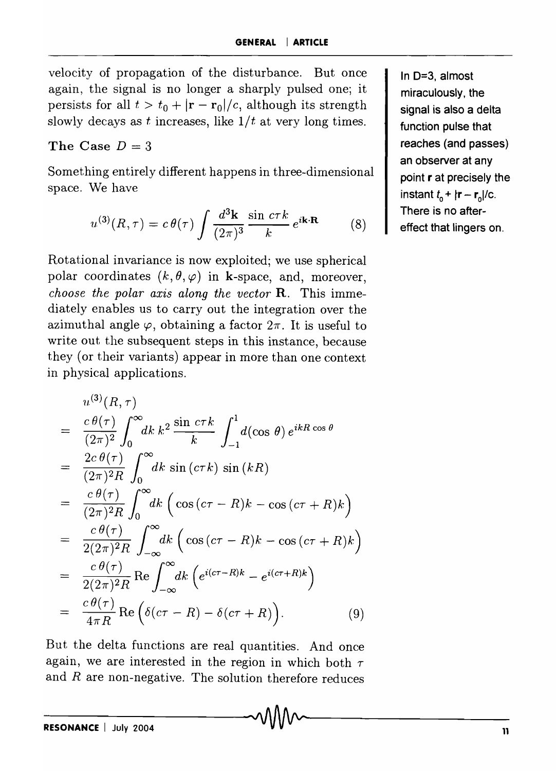velocity of propagation of the disturbance. But once again, the signal is no longer a sharply pulsed one; it persists for all  $t > t_0 + |\mathbf{r} - \mathbf{r}_0|/c$ , although its strength slowly decays as  $t$  increases, like  $1/t$  at very long times.

### The Case  $D = 3$

Something entirely different happens in three-dimensional space. We have

we have  

$$
u^{(3)}(R,\tau) = c \theta(\tau) \int \frac{d^3 \mathbf{k}}{(2\pi)^3} \frac{\sin c \tau k}{k} e^{i\mathbf{k} \cdot \mathbf{R}}
$$
(8)

Rotational invariance is now exploited; we use spherical polar coordinates  $(k, \theta, \varphi)$  in k-space, and, moreover, *choose the polar axis along the vector* R. This immediately enables us to carry out the integration over the azimuthal angle  $\varphi$ , obtaining a factor  $2\pi$ . It is useful to write out the subsequent steps in this instance, because they (or their variants) appear in more than one context in physical applications.

$$
u^{(3)}(R,\tau)
$$
\n
$$
= \frac{c \theta(\tau)}{(2\pi)^2} \int_0^\infty dk \, k^2 \frac{\sin c\tau k}{k} \int_{-1}^1 d(\cos \theta) \, e^{ikR \cos \theta}
$$
\n
$$
= \frac{2c \theta(\tau)}{(2\pi)^2 R} \int_0^\infty dk \, \sin(c\tau k) \, \sin(kR)
$$
\n
$$
= \frac{c \theta(\tau)}{(2\pi)^2 R} \int_0^\infty dk \, \left( \cos(c\tau - R)k - \cos(c\tau + R)k \right)
$$
\n
$$
= \frac{c \theta(\tau)}{2(2\pi)^2 R} \int_{-\infty}^\infty dk \, \left( \cos(c\tau - R)k - \cos(c\tau + R)k \right)
$$
\n
$$
= \frac{c \theta(\tau)}{2(2\pi)^2 R} \operatorname{Re} \int_{-\infty}^\infty dk \, \left( e^{i(c\tau - R)k} - e^{i(c\tau + R)k} \right)
$$
\n
$$
= \frac{c \theta(\tau)}{4\pi R} \operatorname{Re} \left( \delta(c\tau - R) - \delta(c\tau + R) \right). \tag{9}
$$

But the delta functions are real quantities. And once again, we are interested in the region in which both  $\tau$ and *R* are non-negative. The solution therefore reduces

In 0=3, almost miraculously, the signal is also a delta function pulse that reaches (and passes) an observer at any point r at precisely the instant  $t_0 + |r - r_0|/c$ . There is no aftereffect that lingers on.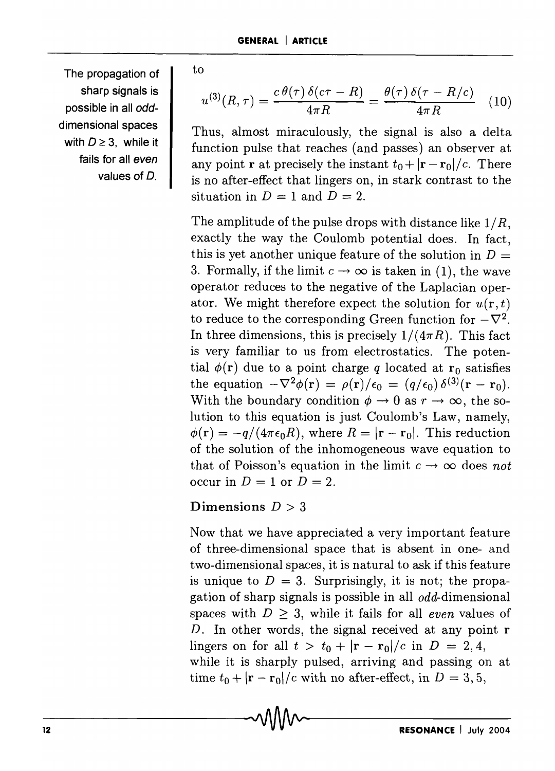The propagation of sharp signals is possible in all odddimensional spaces with  $D \geq 3$ , while it fails for all even values of D.

to

$$
u^{(3)}(R,\tau) = \frac{c \theta(\tau) \,\delta(c\tau - R)}{4\pi R} = \frac{\theta(\tau) \,\delta(\tau - R/c)}{4\pi R} \tag{10}
$$

Thus, almost miraculously, the signal is also a delta function pulse that reaches (and passes) an observer at any point **r** at precisely the instant  $t_0 + |\mathbf{r} - \mathbf{r}_0|/c$ . There is no after-effect that lingers on, in stark contrast to the situation in  $D = 1$  and  $D = 2$ .

The amplitude of the pulse drops with distance like  $1/R$ , exactly the way the Coulomb potential does. In fact, this is yet another unique feature of the solution in  $D =$ 3. Formally, if the limit  $c \to \infty$  is taken in (1), the wave operator reduces to the negative of the Laplacian operator. We might therefore expect the solution for  $u(\mathbf{r}, t)$ to reduce to the corresponding Green function for  $-\nabla^2$ . In three dimensions, this is precisely  $1/(4\pi R)$ . This fact is very familiar to us from electrostatics. The potential  $\phi(\mathbf{r})$  due to a point charge q located at  $\mathbf{r}_0$  satisfies the equation  $-\nabla^2\phi(\mathbf{r}) = \rho(\mathbf{r})/\epsilon_0 = (q/\epsilon_0) \delta^{(3)}(\mathbf{r} - \mathbf{r}_0).$ With the boundary condition  $\phi \to 0$  as  $r \to \infty$ , the solution to this equation is just Coulomb's Law, namely,  $\phi(\mathbf{r}) = -q/(4\pi\epsilon_0 R)$ , where  $R = |\mathbf{r} - \mathbf{r}_0|$ . This reduction of the solution of the inhomogeneous wave equation to that of Poisson's equation in the limit  $c \to \infty$  does not occur in  $D = 1$  or  $D = 2$ .

## Dimensions  $D > 3$

Now that we have appreciated a very important feature of three-dimensional space that is absent in one- and two-dimensional spaces, it is natural to ask if this feature is unique to  $D = 3$ . Surprisingly, it is not; the propagation of sharp signals is possible in all  $\alpha d\alpha$ -dimensional spaces with  $D \geq 3$ , while it fails for all *even* values of D. In other words, the signal received at any point r lingers on for all  $t > t_0 + |\mathbf{r} - \mathbf{r}_0|/c$  in  $D = 2, 4$ , while it is sharply pulsed, arriving and passing on at time  $t_0 + |\mathbf{r} - \mathbf{r}_0|/c$  with no after-effect, in  $D = 3, 5$ ,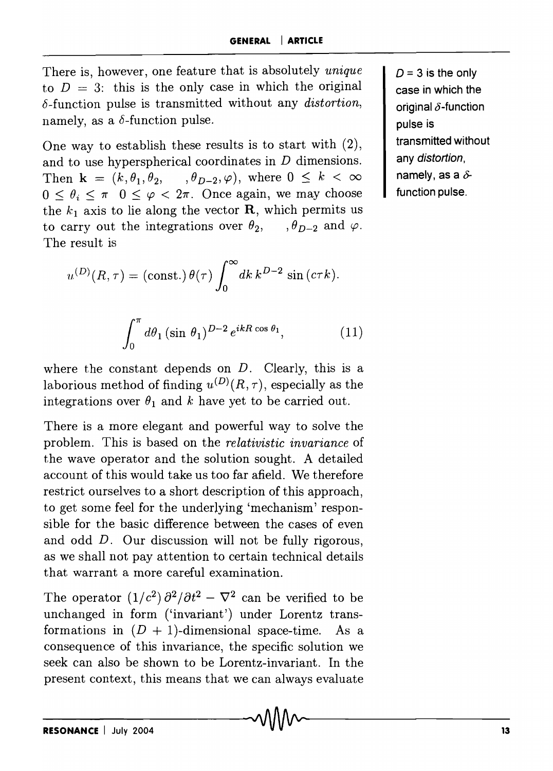There is, however, one feature that is absolutely *unique*  to  $D = 3$ : this is the only case in which the original 8-function pulse is transmitted without any *distortion,*  namely, as a  $\delta$ -function pulse.

One way to establish these results is to start with (2), and to use hyperspherical coordinates in D dimensions. Then  $\mathbf{k} = (k, \theta_1, \theta_2, \dots, \theta_{D-2}, \varphi)$ , where  $0 \leq k < \infty$  $0 \le \theta_i \le \pi$   $0 \le \varphi \le 2\pi$ . Once again, we may choose the  $k_1$  axis to lie along the vector **R**, which permits us to carry out the integrations over  $\theta_2$ ,  $\theta_{D-2}$  and  $\varphi$ . The result is

$$
u^{(D)}(R,\tau) = (\text{const.}) \,\theta(\tau) \int_0^\infty dk \, k^{D-2} \sin(c\tau k).
$$

$$
\int_0^{\pi} d\theta_1 (\sin \theta_1)^{D-2} e^{ikR \cos \theta_1}, \tag{11}
$$

where the constant depends on  $D$ . Clearly, this is a laborious method of finding  $u^{(D)}(R, \tau)$ , especially as the integrations over  $\theta_1$  and *k* have yet to be carried out.

There is a more elegant and powerful way to solve the problem. This is based on the *relativistic invariance* of the wave operator and the solution sought. A detailed account of this would take us too far afield. We therefore restrict ourselves to a short description of this approach, to get some feel for the underlying 'mechanism' responsible for the basic difference between the cases of even and odd *D.* Our discussion will not be fully rigorous, as we shall not pay attention to certain technical details that warrant a more careful examination.

The operator  $(1/c^2) \partial^2/\partial t^2 - \nabla^2$  can be verified to be unchanged in form ('invariant') under Lorentz transformations in  $(D + 1)$ -dimensional space-time. As a consequence of this invariance, the specific solution we seek can also be shown to be Lorentz-invariant. In the present context, this means that we can always evaluate  $D = 3$  is the only case in which the original  $\delta$ -function pulse is transmitted without any distortion. namely, as a  $\delta$ function pulse.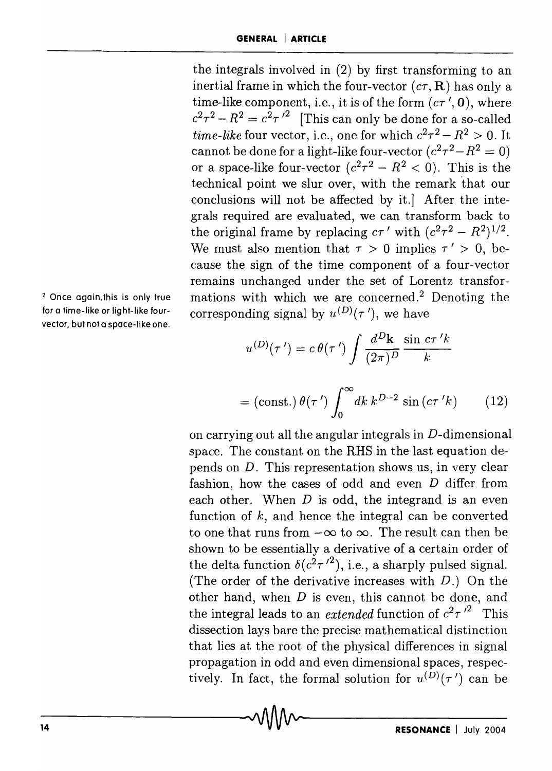the integrals involved in (2) by first transforming to an inertial frame in which the four-vector  $(c\tau, \mathbf{R})$  has only a time-like component, i.e., it is of the form  $(c\tau', 0)$ , where  $c^2\tau^2 - R^2 = c^2\tau^2$  [This can only be done for a so-called *time-like* four vector, i.e., one for which  $c^2\tau^2 - R^2 > 0$ . It cannot be done for a light-like four-vector  $(c^2\tau^2 - R^2 = 0)$ or a space-like four-vector  $(c^2\tau^2 - R^2 < 0)$ . This is the technical point we slur over, with the remark 'that our conclusions will not be affected by it.] After the integrals required are evaluated, we can transform back to the original frame by replacing  $c\tau'$  with  $(c^2\tau^2 - R^2)^{1/2}$ . We must also mention that  $\tau > 0$  implies  $\tau' > 0$ , because the sign of the time component of a four-vector remains unchanged under the set of Lorentz transformations with which we are concerned.<sup>2</sup> Denoting the corresponding signal by  $u^{(D)}(\tau')$ , we have

$$
u^{(D)}(\tau') = c \theta(\tau') \int \frac{d^D \mathbf{k}}{(2\pi)^D} \frac{\sin c \tau' k}{k}
$$

$$
= (\text{const.}) \,\theta(\tau') \int_0^\infty dk \, k^{D-2} \sin\left(c\tau' k\right) \qquad (12)
$$

on carrying out all the angular integrals in D-dimensional space. The constant on the RHS in the last equation depends on D. This representation shows us, in very clear fashion, how the cases of odd and even D differ from each other. When  $D$  is odd, the integrand is an even function of  $k$ , and hence the integral can be converted to one that runs from  $-\infty$  to  $\infty$ . The result can then be shown to be essentially a derivative of a certain order of the delta function  $\delta(c^2\tau^2)$ , i.e., a sharply pulsed signal. (The order of the derivative increases with *D.)* On the other hand, when  $D$  is even, this cannot be done, and the integral leads to an *extended* function of  $c^2 \tau^2$  This dissection lays bare the precise mathematical distinction that lies at the root of the physical differences in signal propagation in odd and even dimensional spaces, respectively. In fact, the formal solution for  $u^{(D)}(\tau')$  can be

2 Once again, this is only true for a time-like or light-like fourvector, but not a space-like one.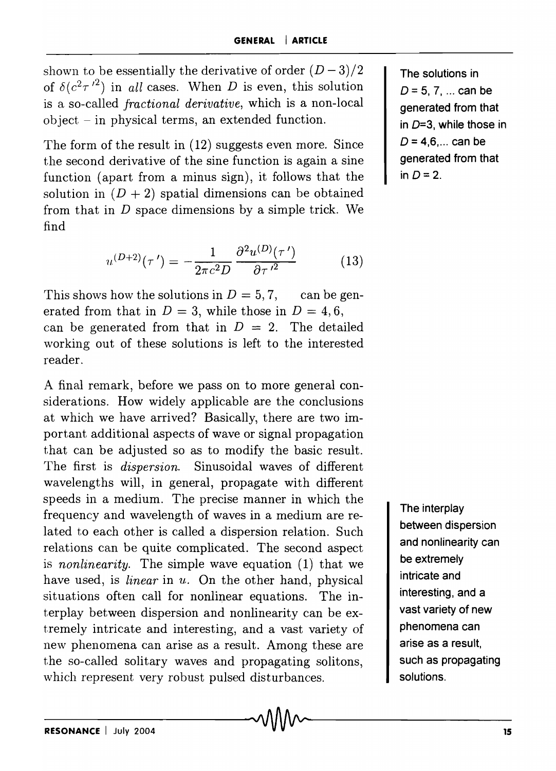shown to be essentially the derivative of order  $(D-3)/2$ of  $\delta(c^2\tau^2)$  in *all* cases. When *D* is even, this solution is a so-called *fractional derivative,* which is a non-local  $object - in physical terms, an extended function.$ 

The form of the result in (12) suggests even more. Since the second derivative of the sine function is again a sine function (apart from a minus sign), it follows that the solution in  $(D + 2)$  spatial dimensions can be obtained from that in *D* space dimensions by a simple trick. We find

$$
u^{(D+2)}(\tau') = -\frac{1}{2\pi c^2 D} \frac{\partial^2 u^{(D)}(\tau')}{\partial \tau'^2}
$$
(13)

This shows how the solutions in  $D = 5, 7$ , can be generated from that in  $D = 3$ , while those in  $D = 4, 6$ , can be generated from that in  $D = 2$ . The detailed working out of these solutions is left to the interested reader.

A final remark, before we pass on to more general considerations. How widely applicable are the conclusions at which we have arrived? Basically, there are two important additional aspects of wave or signal propagation that can be adjusted so as to modify the basic result. The first is *dispersion.* Sinusoidal waves of different wavelengths will, in general, propagate with different speeds in a medium. The precise manner in which the frequency and wavelength of waves in a medium are related to each other is called a dispersion relation. Such relations can be quite complicated. The second aspect is *nonlinearity.* The simple wave equation (1) that we have used, is *linear* in u. On the other hand, physical situations often call for nonlinear equations. The interplay between dispersion and nonlinearity can be extremely intricate and interesting, and a vast variety of new phenomena can arise as a result. Among these are the so-called solitary waves and propagating solitons, which represent very robust pulsed disturbances.

The solutions in  $D = 5, 7, ...$  can be generated from that in  $D=3$ , while those in  $D = 4.6...$  can be generated from that in  $D=2$ .

The interplay between dispersion and nonlinearity can be extremely intricate and interesting, and a vast variety of new phenomena can arise as a result, such as propagating solutions.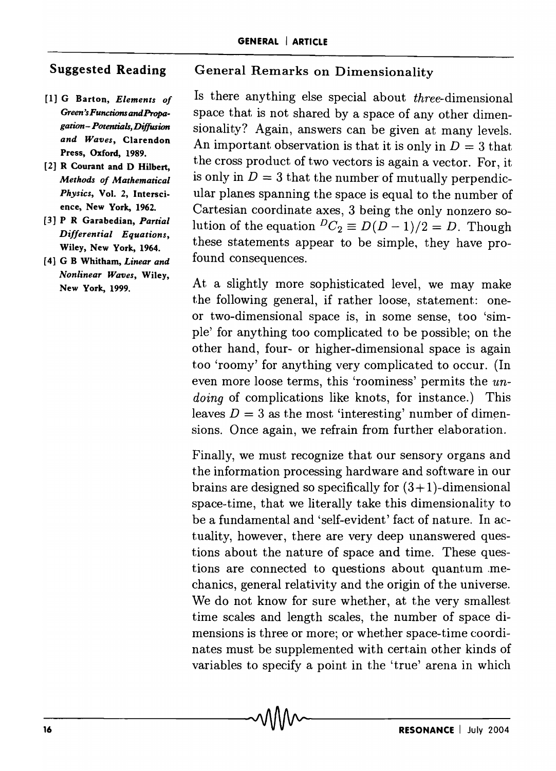## Suggested Reading

- [1] G Barton, *Elements of Green'sFunctions andPropagation- Potentials, Diffusion and Waves,* Clarendon Press, Oxford, 1989.
- [2] R Courant and D Hilbert, *Methods of Mathematical Physics,* Vol. 2, Interscience, New York, 1962.
- [3] P R Garabedian, *Partial Differential Equations,*  Wiley, New York, 1964.
- [ 4] G B Whitham, *Linear and Nonlinear Waves,* Wiley, New York, 1999.

### General Remarks on Dimensionality

Is there anything else special about three-dimensional space that is not shared by a space of any other dimensionality? Again, answers can be given at many levels. An important observation is that it is only in  $D = 3$  that the cross product of two vectors is again a vector. For, it is only in  $D = 3$  that the number of mutually perpendicular planes spanning the space is equal to the number of Cartesian coordinate axes, 3 being the only nonzero solution of the equation  ${}^D C_2 \equiv D(D-1)/2 = D$ . Though these statements appear to be simple, they have profound consequences.

At a slightly more sophisticated level, we may make the following general, if rather loose, statement: oneor two-dimensional space is, in some sense, too 'simple' for anything too complicated to be possible; on the other hand, four- or higher-dimensional space is again too 'roomy' for anything very complicated to occur. (In even more loose terms, this 'roominess' permits the un*doing* of complications like knots, for instance.) This leaves  $D = 3$  as the most 'interesting' number of dimensions. Once again, we refrain from further elaboration.

Finally, we must recognize that our sensory organs and the information processing hardware and software in our brains are designed so specifically for  $(3+1)$ -dimensional space-time, that we literally take this dimensionality to be a fundamental and 'self-evident' fact of nature. In actuality, however, there are very deep unanswered questions about the nature of space and time. These questions are connected to questions about quantum .mechanics, general relativity and the origin of the universe. We do not know for sure whether, at the very smallest time scales and length scales, the number of space dimensions is three or more; or whether space-time coordinates must be supplemented with certain other kinds of variables to specify a point in the 'true' arena in which